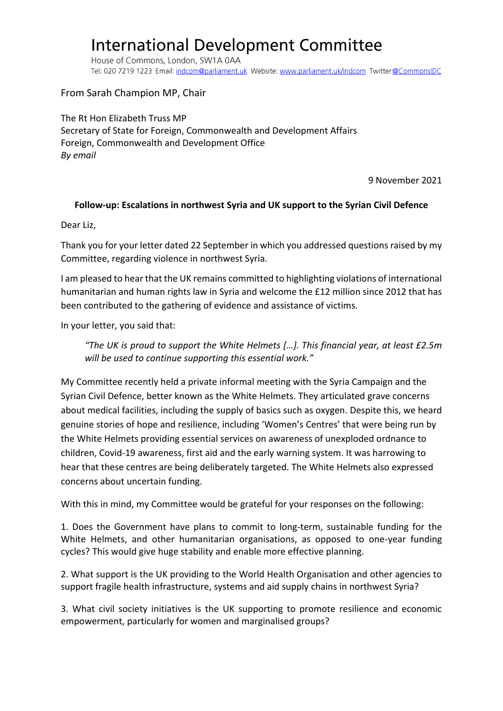## **International Development Committee**

House of Commons, London, SW1A 0AA Tel: 020 7219 1223 Email: indcom@parliament.uk Website: www.parliament.uk/indcom Twitter:@CommonsIDC

From Sarah Champion MP, Chair

The Rt Hon Elizabeth Truss MP Secretary of State for Foreign, Commonwealth and Development Affairs Foreign, Commonwealth and Development Office *By email*

9 November 2021

## **Follow-up: Escalations in northwest Syria and UK support to the Syrian Civil Defence**

Dear Liz,

Thank you for your letter dated 22 September in which you addressed questions raised by my Committee, regarding violence in northwest Syria.

I am pleased to hear that the UK remains committed to highlighting violations of international humanitarian and human rights law in Syria and welcome the £12 million since 2012 that has been contributed to the gathering of evidence and assistance of victims.

In your letter, you said that:

*"The UK is proud to support the White Helmets […]. This financial year, at least £2.5m will be used to continue supporting this essential work."*

My Committee recently held a private informal meeting with the Syria Campaign and the Syrian Civil Defence, better known as the White Helmets. They articulated grave concerns about medical facilities, including the supply of basics such as oxygen. Despite this, we heard genuine stories of hope and resilience, including 'Women's Centres' that were being run by the White Helmets providing essential services on awareness of unexploded ordnance to children, Covid-19 awareness, first aid and the early warning system. It was harrowing to hear that these centres are being deliberately targeted. The White Helmets also expressed concerns about uncertain funding.

With this in mind, my Committee would be grateful for your responses on the following:

1. Does the Government have plans to commit to long-term, sustainable funding for the White Helmets, and other humanitarian organisations, as opposed to one-year funding cycles? This would give huge stability and enable more effective planning.

2. What support is the UK providing to the World Health Organisation and other agencies to support fragile health infrastructure, systems and aid supply chains in northwest Syria?

3. What civil society initiatives is the UK supporting to promote resilience and economic empowerment, particularly for women and marginalised groups?